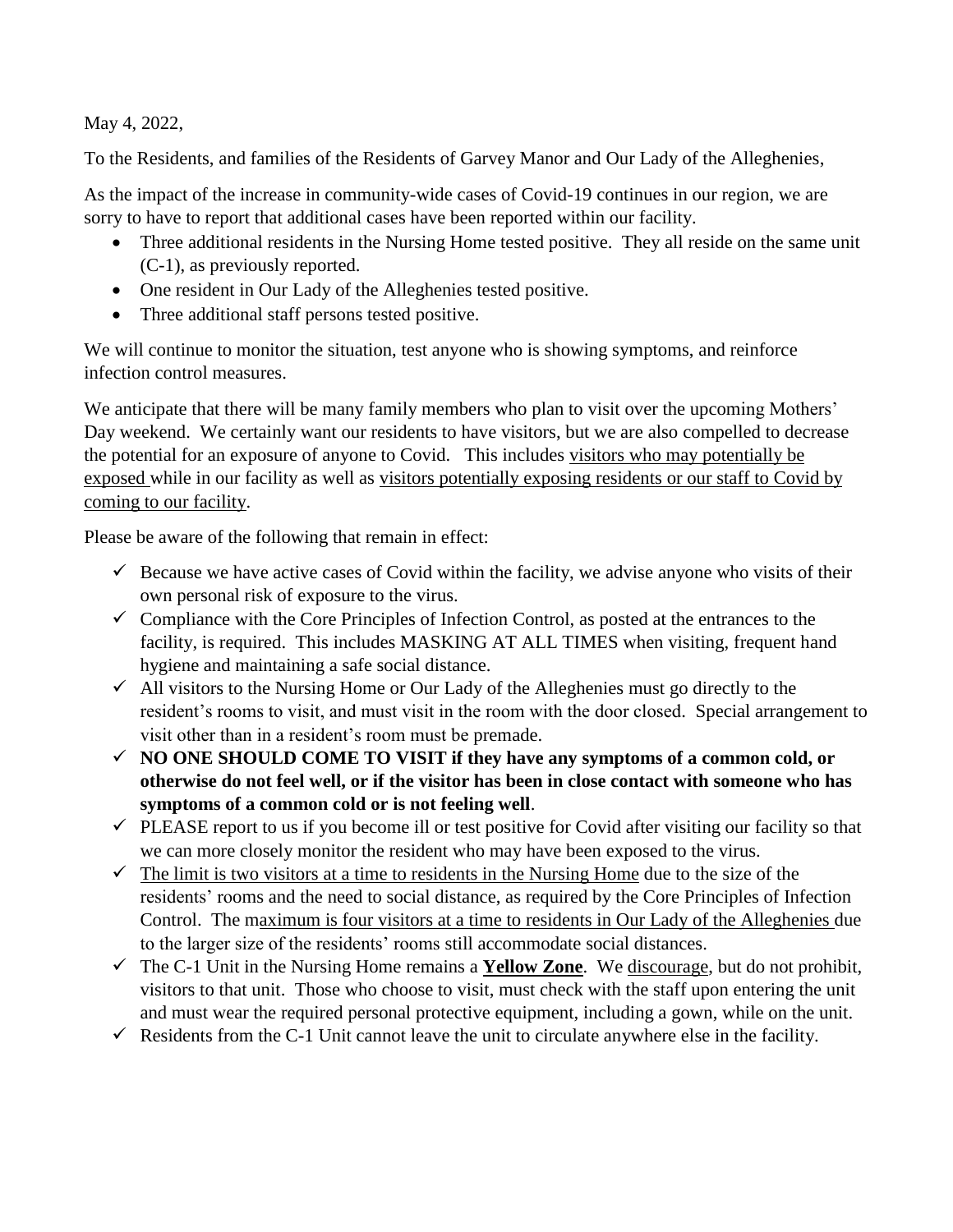May 4, 2022,

To the Residents, and families of the Residents of Garvey Manor and Our Lady of the Alleghenies,

As the impact of the increase in community-wide cases of Covid-19 continues in our region, we are sorry to have to report that additional cases have been reported within our facility.

- Three additional residents in the Nursing Home tested positive. They all reside on the same unit (C-1), as previously reported.
- One resident in Our Lady of the Alleghenies tested positive.
- Three additional staff persons tested positive.

We will continue to monitor the situation, test anyone who is showing symptoms, and reinforce infection control measures.

We anticipate that there will be many family members who plan to visit over the upcoming Mothers' Day weekend. We certainly want our residents to have visitors, but we are also compelled to decrease the potential for an exposure of anyone to Covid. This includes visitors who may potentially be exposed while in our facility as well as visitors potentially exposing residents or our staff to Covid by coming to our facility.

Please be aware of the following that remain in effect:

- $\checkmark$  Because we have active cases of Covid within the facility, we advise anyone who visits of their own personal risk of exposure to the virus.
- $\checkmark$  Compliance with the Core Principles of Infection Control, as posted at the entrances to the facility, is required. This includes MASKING AT ALL TIMES when visiting, frequent hand hygiene and maintaining a safe social distance.
- $\checkmark$  All visitors to the Nursing Home or Our Lady of the Alleghenies must go directly to the resident's rooms to visit, and must visit in the room with the door closed. Special arrangement to visit other than in a resident's room must be premade.
- ✓ **NO ONE SHOULD COME TO VISIT if they have any symptoms of a common cold, or otherwise do not feel well, or if the visitor has been in close contact with someone who has symptoms of a common cold or is not feeling well**.
- $\checkmark$  PLEASE report to us if you become ill or test positive for Covid after visiting our facility so that we can more closely monitor the resident who may have been exposed to the virus.
- $\checkmark$  The limit is two visitors at a time to residents in the Nursing Home due to the size of the residents' rooms and the need to social distance, as required by the Core Principles of Infection Control. The maximum is four visitors at a time to residents in Our Lady of the Alleghenies due to the larger size of the residents' rooms still accommodate social distances.
- $\checkmark$  The C-1 Unit in the Nursing Home remains a **Yellow Zone**. We discourage, but do not prohibit, visitors to that unit. Those who choose to visit, must check with the staff upon entering the unit and must wear the required personal protective equipment, including a gown, while on the unit.
- $\checkmark$  Residents from the C-1 Unit cannot leave the unit to circulate anywhere else in the facility.